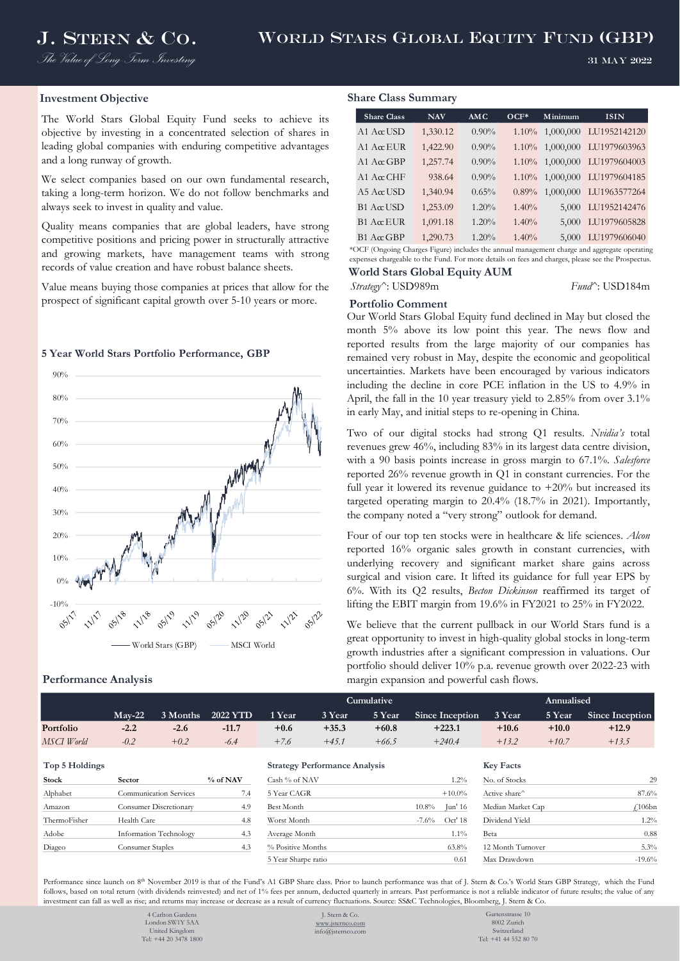# 31 May 2022

## **Investment Objective**

The World Stars Global Equity Fund seeks to achieve its objective by investing in a concentrated selection of shares in leading global companies with enduring competitive advantages and a long runway of growth.

We select companies based on our own fundamental research, taking a long-term horizon. We do not follow benchmarks and always seek to invest in quality and value.

Quality means companies that are global leaders, have strong competitive positions and pricing power in structurally attractive and growing markets, have management teams with strong records of value creation and have robust balance sheets.

Value means buying those companies at prices that allow for the prospect of significant capital growth over 5-10 years or more.

## **5 Year World Stars Portfolio Performance, GBP**



### **Performance Analysis**

#### **Share Class Summary**

| <b>Share Class</b>  | <b>NAV</b> | <b>AMC</b> | $OCF*$   | Minimum              | <b>ISIN</b>                  |
|---------------------|------------|------------|----------|----------------------|------------------------------|
| $A1$ A $\alpha$ USD | 1,330.12   | $0.90\%$   |          | 1.10% 1,000,000      | LU1952142120                 |
| $A1 A\alpha EUR$    | 1,422.90   | $0.90\%$   |          | 1.10% 1,000,000      | LU1979603963                 |
| A1 A $\alpha$ GBP   | 1,257.74   | $0.90\%$   |          | $1.10\%$ $1,000,000$ | LU1979604003                 |
| $A1 A\alpha$ CHF    | 938.64     | $0.90\%$   |          |                      | 1.10% 1,000,000 LU1979604185 |
| $A5 A\alpha$ USD    | 1,340.94   | 0.65%      | $0.89\%$ | 1,000,000            | LU1963577264                 |
| $B1$ Acc USD        | 1,253.09   | 1.20%      | $1.40\%$ | 5,000                | LU1952142476                 |
| $B1$ AccEUR         | 1,091.18   | 1.20%      | $1.40\%$ | 5,000                | LU1979605828                 |
| $B1$ AccGBP         | 1,290.73   | 1.20%      | $1.40\%$ | 5,000                | LU1979606040                 |

\*OCF (Ongoing Charges Figure) includes the annual management charge and aggregate operating expenses chargeable to the Fund. For more details on fees and charges, please see the Prospectus.

**World Stars Global Equity AUM**

## *Strategy^*: USD989m *Fund^*: USD184m

#### **Portfolio Comment**

Our World Stars Global Equity fund declined in May but closed the month 5% above its low point this year. The news flow and reported results from the large majority of our companies has remained very robust in May, despite the economic and geopolitical uncertainties. Markets have been encouraged by various indicators including the decline in core PCE inflation in the US to 4.9% in April, the fall in the 10 year treasury yield to 2.85% from over 3.1% in early May, and initial steps to re-opening in China.

Two of our digital stocks had strong Q1 results. *Nvidia's* total revenues grew 46%, including 83% in its largest data centre division, with a 90 basis points increase in gross margin to 67.1%. *Salesforce* reported 26% revenue growth in Q1 in constant currencies. For the full year it lowered its revenue guidance to  $+20\%$  but increased its targeted operating margin to 20.4% (18.7% in 2021). Importantly, the company noted a "very strong" outlook for demand.

Four of our top ten stocks were in healthcare & life sciences. *Alcon* reported 16% organic sales growth in constant currencies, with underlying recovery and significant market share gains across surgical and vision care. It lifted its guidance for full year EPS by 6%. With its Q2 results, *Becton Dickinson* reaffirmed its target of lifting the EBIT margin from 19.6% in FY2021 to 25% in FY2022.

We believe that the current pullback in our World Stars fund is a great opportunity to invest in high-quality global stocks in long-term growth industries after a significant compression in valuations. Our portfolio should deliver 10% p.a. revenue growth over 2022-23 with margin expansion and powerful cash flows.

|            |          |          |                 |        | Cumulative |         |                 |         |         | Annualised             |  |  |
|------------|----------|----------|-----------------|--------|------------|---------|-----------------|---------|---------|------------------------|--|--|
|            | $Mav-22$ | 3 Months | <b>2022 YTD</b> | 1 Year | 3 Year     | 5 Year  | Since Inception | 3 Year  | 5 Year  | <b>Since Inception</b> |  |  |
| Portfolio  | $-2.2$   | $-2.6$   | $-11.7$         | $+0.6$ | $+35.3$    | $+60.8$ | $+223.1$        | $+10.6$ | $+10.0$ | $+12.9$                |  |  |
| MSCI World | $-0.2$   | $+0.2$   | $-6.4$          | $+7.6$ | $+45.1$    | $+66.5$ | $+240.4$        | $+13.2$ | $+10.7$ | $+13.5$                |  |  |
|            |          |          |                 |        |            |         |                 |         |         |                        |  |  |

| Top 5 Holdings |                               |          | <b>Strategy Performance Analysis</b> |                     | <b>Key Facts</b>  |           |
|----------------|-------------------------------|----------|--------------------------------------|---------------------|-------------------|-----------|
| Stock          | <b>Sector</b>                 | % of NAV | Cash % of NAV                        | $1.2\%$             | No. of Stocks     | <b>29</b> |
| Alphabet       | Communication Services        | 7.4      | 5 Year CAGR                          | $+10.0\%$           | Active share      | 87.6%     |
| Amazon         | <b>Consumer Discretionary</b> | 4.9      | Best Month                           | Jun' 16<br>$10.8\%$ | Median Market Cap | £106br    |
| ThermoFisher   | Health Care                   | 4.8      | Worst Month                          | Oct' 18<br>$-7.6%$  | Dividend Yield    | 1.2%      |
| Adobe          | Information Technology        | 4.3      | Average Month                        | 1.1%                | Beta              | 0.88      |
| Diageo         | Consumer Staples              | 4.3      | % Positive Months                    | $63.8\%$            | 12 Month Turnover | 5.3%      |

| <b>Strategy Performance Analysis</b> |         |          |  |  |  |  |
|--------------------------------------|---------|----------|--|--|--|--|
| Cash % of NAV                        |         | 1.2%     |  |  |  |  |
| 5 Year CAGR                          |         | $+10.0%$ |  |  |  |  |
| <b>Best Month</b>                    | 10.8%   | Jun' 16  |  |  |  |  |
| Worst Month                          | $-7.6%$ | Oct' 18  |  |  |  |  |
| Average Month                        |         | 1.1%     |  |  |  |  |
| % Positive Months                    |         | 63.8%    |  |  |  |  |
| 5 Year Sharpe ratio                  |         | 0.61     |  |  |  |  |

| <b>Key Facts</b>  |                |
|-------------------|----------------|
| No. of Stocks     | 29             |
| Active share^     | 87.6%          |
| Median Market Cap | $\sqrt{106bn}$ |
| Dividend Yield    | $1.2\%$        |
| Beta              | 0.88           |
| 12 Month Turnover | 5.3%           |
| Max Drawdown      | $-19.6%$       |

Performance since launch on 8<sup>th</sup> November 2019 is that of the Fund's A1 GBP Share class. Prior to launch performance was that of J. Stern & Co.'s World Stars GBP Strategy, which the Fund follows, based on total return (with dividends reinvested) and net of 1% fees per annum, deducted quarterly in arrears. Past performance is not a reliable indicator of future results; the value of any investment can fall as well as rise; and returns may increase or decrease as a result of currency fluctuations. Source: SS&C Technologies, Bloomberg, J. Stern & Co.

> 4 Carlton Gardens London SW1Y 5AA

United Kingdom Tel: +44 20 3478 1800

J. Stern & Co. [www.jsternco.com](http://www.jsternco.com/) info@jsternco.com

Gartenstrasse 10 8002 Zurich Switzerland Tel: +41 44 552 80 70